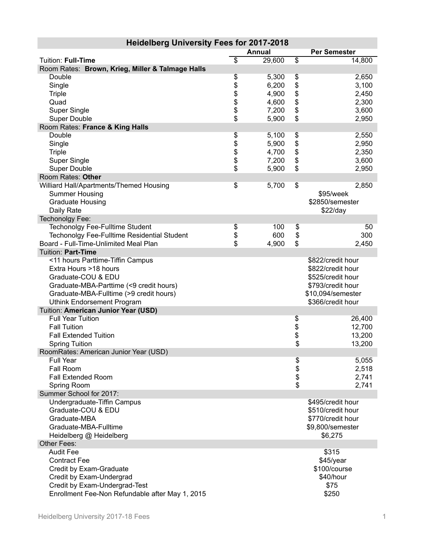| $30000000$ and $30000000$                          |                 | Annual |                 | <b>Per Semester</b> |
|----------------------------------------------------|-----------------|--------|-----------------|---------------------|
| Tuition: Full-Time                                 | $\overline{\$}$ | 29,600 | $\overline{\$}$ | 14,800              |
| Room Rates: Brown, Krieg, Miller & Talmage Halls   |                 |        |                 |                     |
| Double                                             | \$              | 5,300  | \$              | 2,650               |
| Single                                             |                 | 6,200  | \$              | 3,100               |
| <b>Triple</b>                                      | \$\$\$          | 4,900  |                 | 2,450               |
| Quad                                               |                 | 4,600  | \$              | 2,300               |
| Super Single                                       |                 | 7,200  | \$              | 3,600               |
| <b>Super Double</b>                                | \$              | 5,900  | \$              | 2,950               |
| Room Rates: France & King Halls                    |                 |        |                 |                     |
| Double                                             | \$              | 5,100  | \$              | 2,550               |
| Single                                             |                 | 5,900  | \$              | 2,950               |
| <b>Triple</b>                                      |                 | 4,700  | \$              | 2,350               |
| <b>Super Single</b>                                | \$\$\$          | 7,200  | \$              | 3,600               |
| <b>Super Double</b>                                |                 | 5,900  | \$              | 2,950               |
| Room Rates: Other                                  |                 |        |                 |                     |
| Williard Hall/Apartments/Themed Housing            | \$              | 5,700  | \$              | 2,850               |
| <b>Summer Housing</b>                              |                 |        |                 | \$95/week           |
| <b>Graduate Housing</b>                            |                 |        |                 | \$2850/semester     |
| Daily Rate                                         |                 |        |                 | \$22/day            |
| Techonolgy Fee:                                    |                 |        |                 |                     |
| <b>Techonolgy Fee-Fulltime Student</b>             | \$              | 100    | \$              | 50                  |
| <b>Techonolgy Fee-Fulltime Residential Student</b> | \$              | 600    | \$              | 300                 |
| Board - Full-Time-Unlimited Meal Plan              | \$              | 4,900  | \$              | 2,450               |
| Tuition: Part-Time                                 |                 |        |                 |                     |
| <11 hours Parttime-Tiffin Campus                   |                 |        |                 | \$822/credit hour   |
| Extra Hours >18 hours                              |                 |        |                 | \$822/credit hour   |
| Graduate-COU & EDU                                 |                 |        |                 | \$525/credit hour   |
| Graduate-MBA-Parttime (<9 credit hours)            |                 |        |                 | \$793/credit hour   |
| Graduate-MBA-Fulltime (>9 credit hours)            |                 |        |                 | \$10,094/semester   |
| <b>Uthink Endorsement Program</b>                  |                 |        |                 | \$366/credit hour   |
| Tuition: American Junior Year (USD)                |                 |        |                 |                     |
| <b>Full Year Tuition</b>                           |                 |        | \$              | 26,400              |
| <b>Fall Tuition</b>                                |                 |        | \$<br>\$        | 12,700              |
| <b>Fall Extended Tuition</b>                       |                 |        |                 | 13,200              |
| <b>Spring Tuition</b>                              |                 |        | \$              | 13,200              |
| RoomRates: American Junior Year (USD)              |                 |        |                 |                     |
| <b>Full Year</b>                                   |                 |        |                 | 5,055               |
| Fall Room                                          |                 |        | \$<br>\$        | 2,518               |
| <b>Fall Extended Room</b>                          |                 |        |                 | 2,741               |
| Spring Room                                        |                 |        | \$              | 2,741               |
| Summer School for 2017:                            |                 |        |                 | \$495/credit hour   |
| Undergraduate-Tiffin Campus<br>Graduate-COU & EDU  |                 |        |                 | \$510/credit hour   |
| Graduate-MBA                                       |                 |        |                 | \$770/credit hour   |
| Graduate-MBA-Fulltime                              |                 |        |                 | \$9,800/semester    |
| Heidelberg @ Heidelberg                            |                 |        |                 | \$6,275             |
| Other Fees:                                        |                 |        |                 |                     |
| <b>Audit Fee</b>                                   |                 |        |                 | \$315               |
| <b>Contract Fee</b>                                |                 |        |                 | \$45/year           |
| Credit by Exam-Graduate                            |                 |        |                 | \$100/course        |
| Credit by Exam-Undergrad                           |                 |        |                 | \$40/hour           |
| Credit by Exam-Undergrad-Test                      |                 |        |                 | \$75                |
| Enrollment Fee-Non Refundable after May 1, 2015    |                 |        |                 | \$250               |

## **Heidelberg University Fees for 2017-2018**

П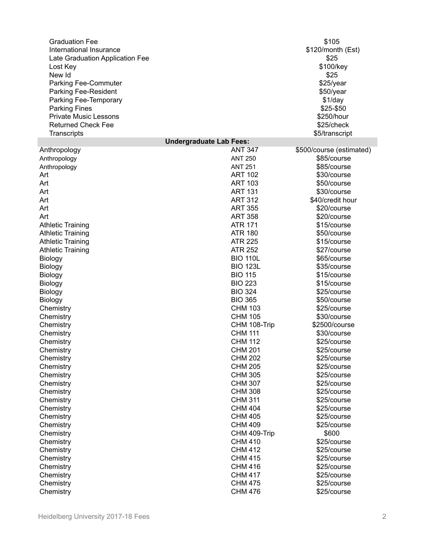| <b>Graduation Fee</b><br>International Insurance<br>Late Graduation Application Fee<br>Lost Key<br>New Id<br>Parking Fee-Commuter<br>Parking Fee-Resident<br>Parking Fee-Temporary<br><b>Parking Fines</b><br><b>Private Music Lessons</b><br><b>Returned Check Fee</b><br>Transcripts |                                | \$105<br>\$120/month (Est)<br>\$25<br>\$100/key<br>\$25<br>\$25/year<br>\$50/year<br>\$1/day<br>\$25-\$50<br>\$250/hour<br>\$25/check<br>\$5/transcript |
|----------------------------------------------------------------------------------------------------------------------------------------------------------------------------------------------------------------------------------------------------------------------------------------|--------------------------------|---------------------------------------------------------------------------------------------------------------------------------------------------------|
|                                                                                                                                                                                                                                                                                        | <b>Undergraduate Lab Fees:</b> |                                                                                                                                                         |
| Anthropology                                                                                                                                                                                                                                                                           | <b>ANT 347</b>                 | \$500/course (estimated)                                                                                                                                |
| Anthropology                                                                                                                                                                                                                                                                           | <b>ANT 250</b>                 | \$85/course                                                                                                                                             |
| Anthropology                                                                                                                                                                                                                                                                           | <b>ANT 251</b>                 | \$85/course                                                                                                                                             |
| Art                                                                                                                                                                                                                                                                                    | <b>ART 102</b>                 | \$30/course                                                                                                                                             |
| Art                                                                                                                                                                                                                                                                                    | <b>ART 103</b>                 | \$50/course                                                                                                                                             |
| Art                                                                                                                                                                                                                                                                                    | <b>ART 131</b>                 | \$30/course                                                                                                                                             |
| Art                                                                                                                                                                                                                                                                                    | <b>ART 312</b>                 | \$40/credit hour                                                                                                                                        |
| Art                                                                                                                                                                                                                                                                                    | <b>ART 355</b>                 | \$20/course                                                                                                                                             |
| Art                                                                                                                                                                                                                                                                                    | <b>ART 358</b>                 | \$20/course                                                                                                                                             |
| <b>Athletic Training</b>                                                                                                                                                                                                                                                               | <b>ATR 171</b>                 | \$15/course                                                                                                                                             |
| <b>Athletic Training</b>                                                                                                                                                                                                                                                               | <b>ATR 180</b>                 | \$50/course                                                                                                                                             |
| <b>Athletic Training</b>                                                                                                                                                                                                                                                               | <b>ATR 225</b>                 | \$15/course                                                                                                                                             |
| <b>Athletic Training</b>                                                                                                                                                                                                                                                               | <b>ATR 252</b>                 | \$27/course                                                                                                                                             |
| Biology                                                                                                                                                                                                                                                                                | <b>BIO 110L</b>                | \$65/course                                                                                                                                             |
| Biology                                                                                                                                                                                                                                                                                | <b>BIO 123L</b>                | \$35/course                                                                                                                                             |
| Biology                                                                                                                                                                                                                                                                                | <b>BIO 115</b>                 | \$15/course                                                                                                                                             |
| Biology                                                                                                                                                                                                                                                                                | <b>BIO 223</b>                 | \$15/course                                                                                                                                             |
| Biology                                                                                                                                                                                                                                                                                | <b>BIO 324</b>                 | \$25/course                                                                                                                                             |
| Biology                                                                                                                                                                                                                                                                                | <b>BIO 365</b>                 | \$50/course                                                                                                                                             |
| Chemistry                                                                                                                                                                                                                                                                              | <b>CHM 103</b>                 | \$25/course                                                                                                                                             |
| Chemistry                                                                                                                                                                                                                                                                              | <b>CHM 105</b>                 | \$30/course                                                                                                                                             |
| Chemistry                                                                                                                                                                                                                                                                              | CHM 108-Trip                   | \$2500/course                                                                                                                                           |
| Chemistry                                                                                                                                                                                                                                                                              | <b>CHM 111</b>                 | \$30/course                                                                                                                                             |
| Chemistry                                                                                                                                                                                                                                                                              | <b>CHM 112</b>                 | \$25/course                                                                                                                                             |
| Chemistry                                                                                                                                                                                                                                                                              | <b>CHM 201</b>                 | \$25/course                                                                                                                                             |
| Chemistry                                                                                                                                                                                                                                                                              | <b>CHM 202</b>                 | \$25/course                                                                                                                                             |
| Chemistry                                                                                                                                                                                                                                                                              | <b>CHM 205</b>                 | \$25/course                                                                                                                                             |
| Chemistry                                                                                                                                                                                                                                                                              | <b>CHM 305</b>                 | \$25/course                                                                                                                                             |
| Chemistry                                                                                                                                                                                                                                                                              | <b>CHM 307</b>                 | \$25/course                                                                                                                                             |
| Chemistry                                                                                                                                                                                                                                                                              | <b>CHM 308</b>                 | \$25/course                                                                                                                                             |
| Chemistry                                                                                                                                                                                                                                                                              | <b>CHM 311</b>                 | \$25/course                                                                                                                                             |
| Chemistry                                                                                                                                                                                                                                                                              | <b>CHM 404</b>                 | \$25/course                                                                                                                                             |
| Chemistry                                                                                                                                                                                                                                                                              | <b>CHM 405</b>                 | \$25/course                                                                                                                                             |
| Chemistry                                                                                                                                                                                                                                                                              | <b>CHM 409</b>                 | \$25/course                                                                                                                                             |
| Chemistry                                                                                                                                                                                                                                                                              | CHM 409-Trip                   | \$600                                                                                                                                                   |
| Chemistry                                                                                                                                                                                                                                                                              | <b>CHM 410</b>                 | \$25/course                                                                                                                                             |
| Chemistry                                                                                                                                                                                                                                                                              | <b>CHM 412</b>                 | \$25/course                                                                                                                                             |
| Chemistry                                                                                                                                                                                                                                                                              | <b>CHM 415</b>                 | \$25/course                                                                                                                                             |
| Chemistry                                                                                                                                                                                                                                                                              | <b>CHM 416</b>                 | \$25/course                                                                                                                                             |
| Chemistry                                                                                                                                                                                                                                                                              | <b>CHM 417</b>                 | \$25/course                                                                                                                                             |
| Chemistry                                                                                                                                                                                                                                                                              | <b>CHM 475</b>                 | \$25/course                                                                                                                                             |
| Chemistry                                                                                                                                                                                                                                                                              | <b>CHM 476</b>                 | \$25/course                                                                                                                                             |